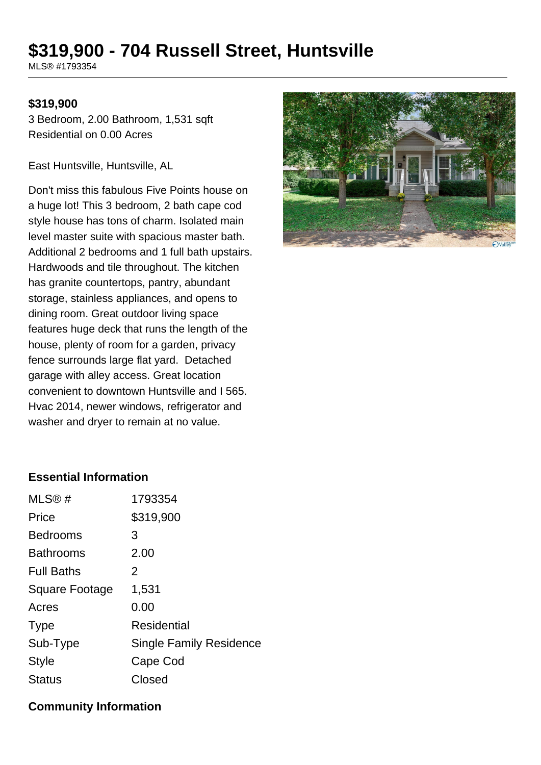# **\$319,900 - 704 Russell Street, Huntsville**

MLS® #1793354

#### **\$319,900**

3 Bedroom, 2.00 Bathroom, 1,531 sqft Residential on 0.00 Acres

East Huntsville, Huntsville, AL

Don't miss this fabulous Five Points house on a huge lot! This 3 bedroom, 2 bath cape cod style house has tons of charm. Isolated main level master suite with spacious master bath. Additional 2 bedrooms and 1 full bath upstairs. Hardwoods and tile throughout. The kitchen has granite countertops, pantry, abundant storage, stainless appliances, and opens to dining room. Great outdoor living space features huge deck that runs the length of the house, plenty of room for a garden, privacy fence surrounds large flat yard. Detached garage with alley access. Great location convenient to downtown Huntsville and I 565. Hvac 2014, newer windows, refrigerator and washer and dryer to remain at no value.



#### **Essential Information**

| MLS®#             | 1793354                        |
|-------------------|--------------------------------|
| Price             | \$319,900                      |
| <b>Bedrooms</b>   | 3                              |
| <b>Bathrooms</b>  | 2.00                           |
| <b>Full Baths</b> | 2                              |
| Square Footage    | 1,531                          |
| Acres             | 0.00                           |
| <b>Type</b>       | Residential                    |
| Sub-Type          | <b>Single Family Residence</b> |
| <b>Style</b>      | Cape Cod                       |
| <b>Status</b>     | Closed                         |
|                   |                                |

#### **Community Information**